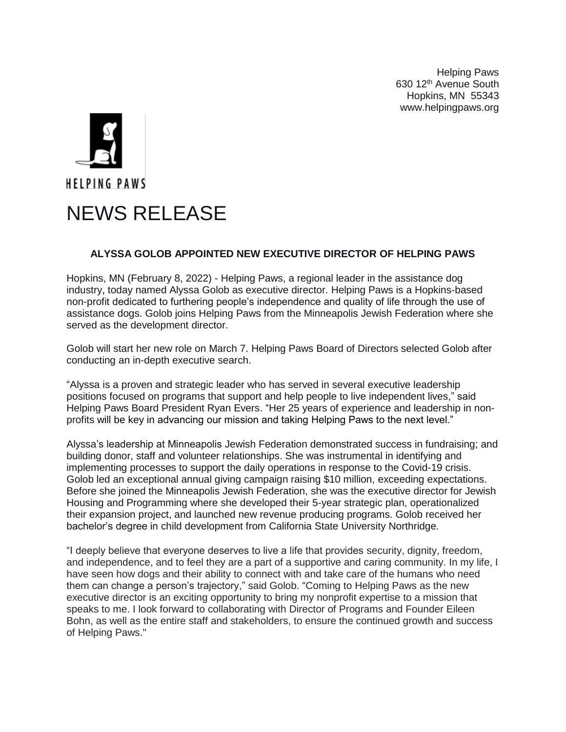Helping Paws 630 12th Avenue South Hopkins, MN 55343 www.helpingpaws.org



## **ALYSSA GOLOB APPOINTED NEW EXECUTIVE DIRECTOR OF HELPING PAWS**

Hopkins, MN (February 8, 2022) - Helping Paws, a regional leader in the assistance dog industry, today named Alyssa Golob as executive director. Helping Paws is a Hopkins-based non-profit dedicated to furthering people's independence and quality of life through the use of assistance dogs. Golob joins Helping Paws from the Minneapolis Jewish Federation where she served as the development director.

Golob will start her new role on March 7. Helping Paws Board of Directors selected Golob after conducting an in-depth executive search.

"Alyssa is a proven and strategic leader who has served in several executive leadership positions focused on programs that support and help people to live independent lives," said Helping Paws Board President Ryan Evers. "Her 25 years of experience and leadership in nonprofits will be key in advancing our mission and taking Helping Paws to the next level."

Alyssa's leadership at Minneapolis Jewish Federation demonstrated success in fundraising; and building donor, staff and volunteer relationships. She was instrumental in identifying and implementing processes to support the daily operations in response to the Covid-19 crisis. Golob led an exceptional annual giving campaign raising \$10 million, exceeding expectations. Before she joined the Minneapolis Jewish Federation, she was the executive director for Jewish Housing and Programming where she developed their 5-year strategic plan, operationalized their expansion project, and launched new revenue producing programs. Golob received her bachelor's degree in child development from California State University Northridge.

"I deeply believe that everyone deserves to live a life that provides security, dignity, freedom, and independence, and to feel they are a part of a supportive and caring community. In my life, I have seen how dogs and their ability to connect with and take care of the humans who need them can change a person's trajectory," said Golob. "Coming to Helping Paws as the new executive director is an exciting opportunity to bring my nonprofit expertise to a mission that speaks to me. I look forward to collaborating with Director of Programs and Founder Eileen Bohn, as well as the entire staff and stakeholders, to ensure the continued growth and success of Helping Paws."